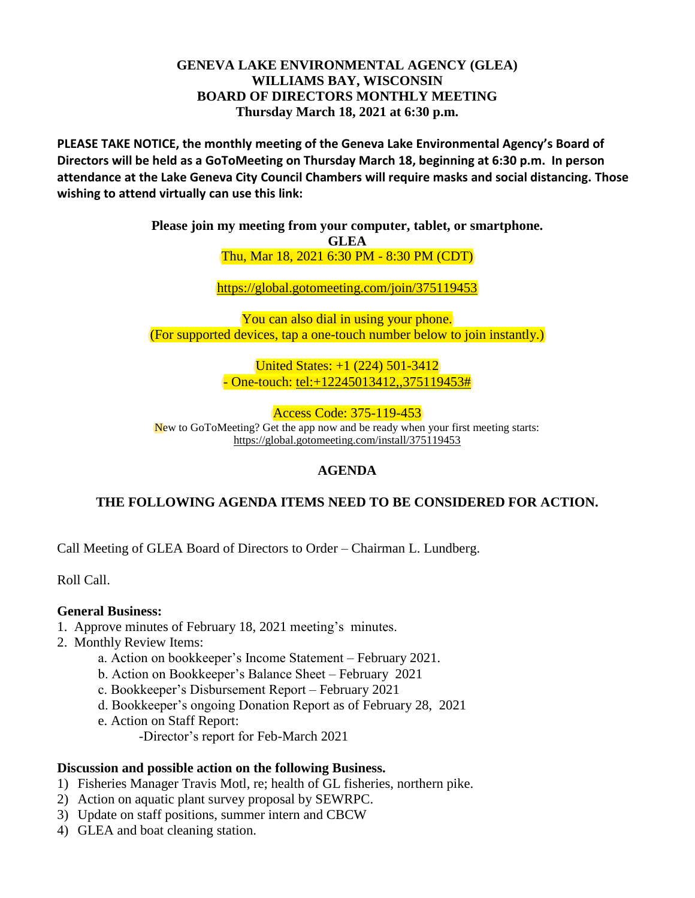#### **GENEVA LAKE ENVIRONMENTAL AGENCY (GLEA) WILLIAMS BAY, WISCONSIN BOARD OF DIRECTORS MONTHLY MEETING Thursday March 18, 2021 at 6:30 p.m.**

**PLEASE TAKE NOTICE, the monthly meeting of the Geneva Lake Environmental Agency's Board of Directors will be held as a GoToMeeting on Thursday March 18, beginning at 6:30 p.m. In person attendance at the Lake Geneva City Council Chambers will require masks and social distancing. Those wishing to attend virtually can use this link:**

> **Please join my meeting from your computer, tablet, or smartphone. GLEA**

> > Thu, Mar 18, 2021 6:30 PM - 8:30 PM (CDT)

<https://global.gotomeeting.com/join/375119453>

You can also dial in using your phone. (For supported devices, tap a one-touch number below to join instantly.)

> United States: +1 (224) 501-3412  $-$  One-touch: tel: $+12245013412, 375119453#$

Access Code: 375-119-453 New to GoToMeeting? Get the app now and be ready when your first meeting starts: <https://global.gotomeeting.com/install/375119453>

# **AGENDA**

# **THE FOLLOWING AGENDA ITEMS NEED TO BE CONSIDERED FOR ACTION.**

Call Meeting of GLEA Board of Directors to Order – Chairman L. Lundberg.

Roll Call.

### **General Business:**

- 1.Approve minutes of February 18, 2021 meeting's minutes.
- 2. Monthly Review Items:
	- a. Action on bookkeeper's Income Statement February 2021.
	- b. Action on Bookkeeper's Balance Sheet February 2021
	- c. Bookkeeper's Disbursement Report February 2021
	- d. Bookkeeper's ongoing Donation Report as of February 28, 2021
	- e. Action on Staff Report:
		- -Director's report for Feb-March 2021

#### **Discussion and possible action on the following Business.**

- 1) Fisheries Manager Travis Motl, re; health of GL fisheries, northern pike.
- 2) Action on aquatic plant survey proposal by SEWRPC.
- 3) Update on staff positions, summer intern and CBCW
- 4) GLEA and boat cleaning station.